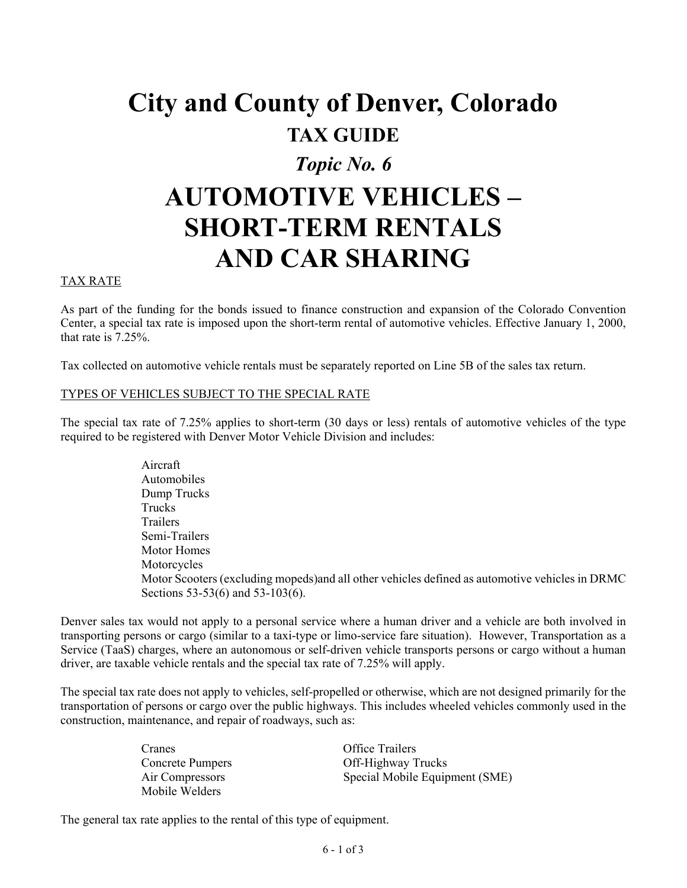# **City and County of Denver, Colorado TAX GUIDE** *Topic No. 6* **AUTOMOTIVE VEHICLES – SHORT-TERM RENTALS AND CAR SHARING**

## TAX RATE

As part of the funding for the bonds issued to finance construction and expansion of the Colorado Convention Center, a special tax rate is imposed upon the short-term rental of automotive vehicles. Effective January 1, 2000, that rate is 7.25%.

Tax collected on automotive vehicle rentals must be separately reported on Line 5B of the sales tax return.

#### TYPES OF VEHICLES SUBJECT TO THE SPECIAL RATE

The special tax rate of 7.25% applies to short-term (30 days or less) rentals of automotive vehicles of the type required to be registered with Denver Motor Vehicle Division and includes:

> Aircraft Automobiles Dump Trucks Trucks Trailers Semi-Trailers Motor Homes Motorcycles Motor Scooters (excluding mopeds)and all other vehicles defined as automotive vehicles in DRMC Sections 53-53(6) and 53-103(6).

Denver sales tax would not apply to a personal service where a human driver and a vehicle are both involved in transporting persons or cargo (similar to a taxi-type or limo-service fare situation). However, Transportation as a Service (TaaS) charges, where an autonomous or self-driven vehicle transports persons or cargo without a human driver, are taxable vehicle rentals and the special tax rate of 7.25% will apply.

The special tax rate does not apply to vehicles, self-propelled or otherwise, which are not designed primarily for the transportation of persons or cargo over the public highways. This includes wheeled vehicles commonly used in the construction, maintenance, and repair of roadways, such as:

> Cranes Office Trailers Mobile Welders

Concrete Pumpers Off-Highway Trucks Air Compressors Special Mobile Equipment (SME)

The general tax rate applies to the rental of this type of equipment.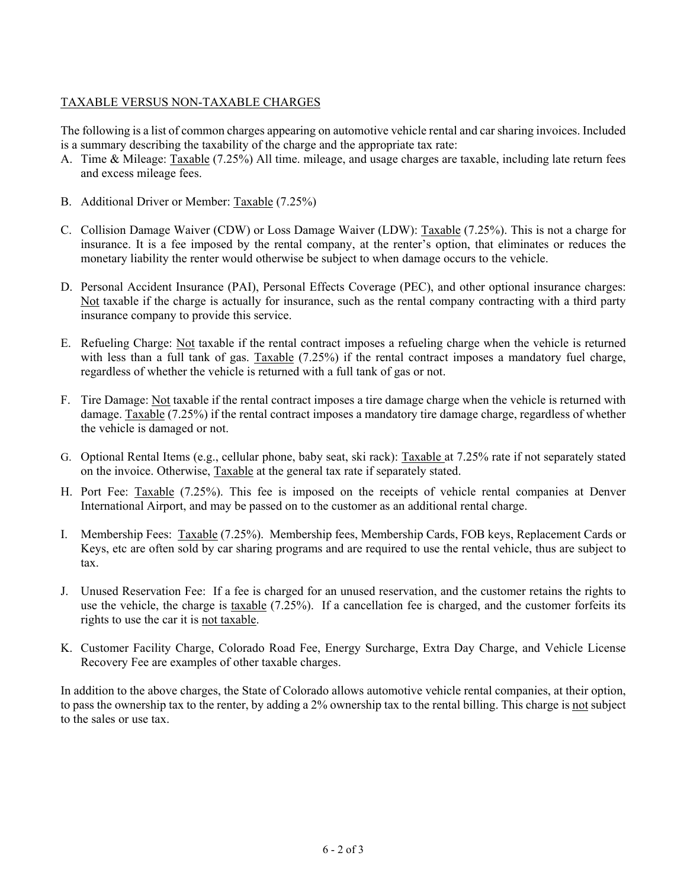# TAXABLE VERSUS NON-TAXABLE CHARGES

The following is a list of common charges appearing on automotive vehicle rental and car sharing invoices. Included is a summary describing the taxability of the charge and the appropriate tax rate:

- A. Time & Mileage: Taxable (7.25%) All time. mileage, and usage charges are taxable, including late return fees and excess mileage fees.
- B. Additional Driver or Member: Taxable (7.25%)
- C. Collision Damage Waiver (CDW) or Loss Damage Waiver (LDW): Taxable (7.25%). This is not a charge for insurance. It is a fee imposed by the rental company, at the renter's option, that eliminates or reduces the monetary liability the renter would otherwise be subject to when damage occurs to the vehicle.
- D. Personal Accident Insurance (PAI), Personal Effects Coverage (PEC), and other optional insurance charges: Not taxable if the charge is actually for insurance, such as the rental company contracting with a third party insurance company to provide this service.
- E. Refueling Charge: Not taxable if the rental contract imposes a refueling charge when the vehicle is returned with less than a full tank of gas. Taxable (7.25%) if the rental contract imposes a mandatory fuel charge, regardless of whether the vehicle is returned with a full tank of gas or not.
- F. Tire Damage: Not taxable if the rental contract imposes a tire damage charge when the vehicle is returned with damage. Taxable (7.25%) if the rental contract imposes a mandatory tire damage charge, regardless of whether the vehicle is damaged or not.
- G. Optional Rental Items (e.g., cellular phone, baby seat, ski rack): Taxable at 7.25% rate if not separately stated on the invoice. Otherwise, Taxable at the general tax rate if separately stated.
- H. Port Fee: Taxable (7.25%). This fee is imposed on the receipts of vehicle rental companies at Denver International Airport, and may be passed on to the customer as an additional rental charge.
- I. Membership Fees: Taxable (7.25%). Membership fees, Membership Cards, FOB keys, Replacement Cards or Keys, etc are often sold by car sharing programs and are required to use the rental vehicle, thus are subject to tax.
- J. Unused Reservation Fee: If a fee is charged for an unused reservation, and the customer retains the rights to use the vehicle, the charge is taxable (7.25%). If a cancellation fee is charged, and the customer forfeits its rights to use the car it is not taxable.
- K. Customer Facility Charge, Colorado Road Fee, Energy Surcharge, Extra Day Charge, and Vehicle License Recovery Fee are examples of other taxable charges.

In addition to the above charges, the State of Colorado allows automotive vehicle rental companies, at their option, to pass the ownership tax to the renter, by adding a 2% ownership tax to the rental billing. This charge is not subject to the sales or use tax.